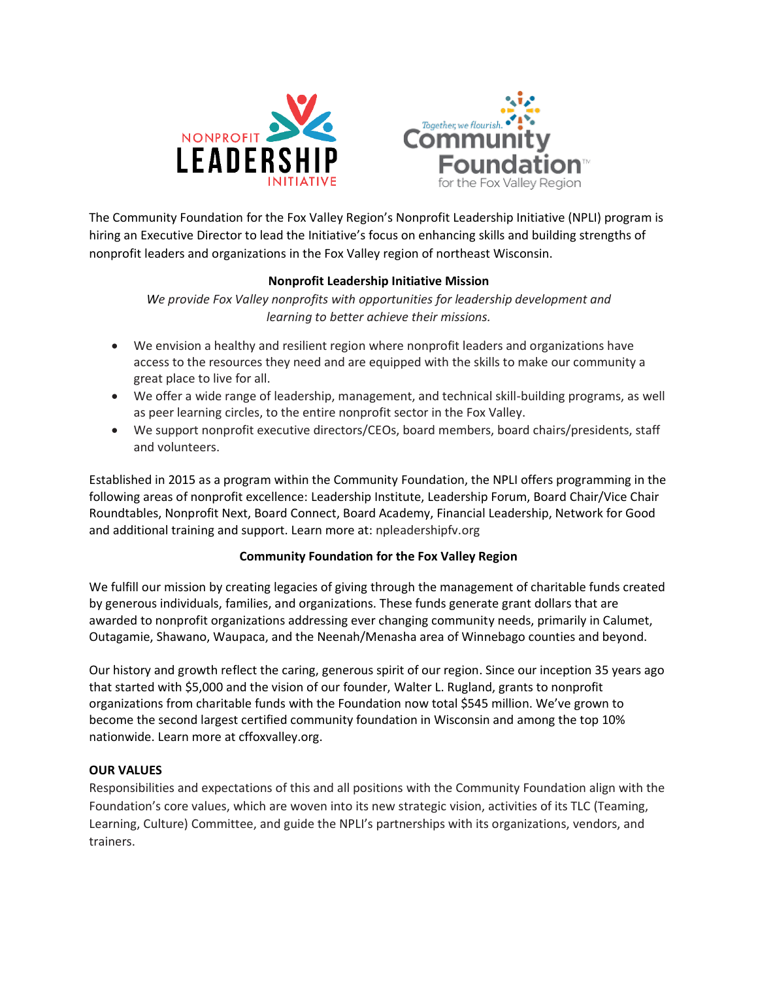



The Community Foundation for the Fox Valley Region's Nonprofit Leadership Initiative (NPLI) program is hiring an Executive Director to lead the Initiative's focus on enhancing skills and building strengths of nonprofit leaders and organizations in the Fox Valley region of northeast Wisconsin.

# **Nonprofit Leadership Initiative Mission**

*We provide Fox Valley nonprofits with opportunities for leadership development and learning to better achieve their missions.*

- We envision a healthy and resilient region where nonprofit leaders and organizations have access to the resources they need and are equipped with the skills to make our community a great place to live for all.
- We offer a wide range of leadership, management, and technical skill-building programs, as well as peer learning circles, to the entire nonprofit sector in the Fox Valley.
- We support nonprofit executive directors/CEOs, board members, board chairs/presidents, staff and volunteers.

Established in 2015 as a program within the Community Foundation, the NPLI offers programming in the following areas of nonprofit excellence: Leadership Institute, Leadership Forum, Board Chair/Vice Chair Roundtables, Nonprofit Next, Board Connect, Board Academy, Financial Leadership, Network for Good and additional training and support. Learn more at: npleadershipfv.org

## **Community Foundation for the Fox Valley Region**

We fulfill our mission by creating legacies of giving through the management of charitable funds created by generous individuals, families, and organizations. These funds generate grant dollars that are awarded to nonprofit organizations addressing ever changing community needs, primarily in Calumet, Outagamie, Shawano, Waupaca, and the Neenah/Menasha area of Winnebago counties and beyond.

Our history and growth reflect the caring, generous spirit of our region. Since our inception 35 years ago that started with \$5,000 and the vision of our founder, Walter L. Rugland, grants to nonprofit organizations from charitable funds with the Foundation now total \$545 million. We've grown to become the second largest certified community foundation in Wisconsin and among the top 10% nationwide. Learn more at cffoxvalley.org.

## **OUR VALUES**

Responsibilities and expectations of this and all positions with the Community Foundation align with the Foundation's core values, which are woven into its new strategic vision, activities of its TLC (Teaming, Learning, Culture) Committee, and guide the NPLI's partnerships with its organizations, vendors, and trainers.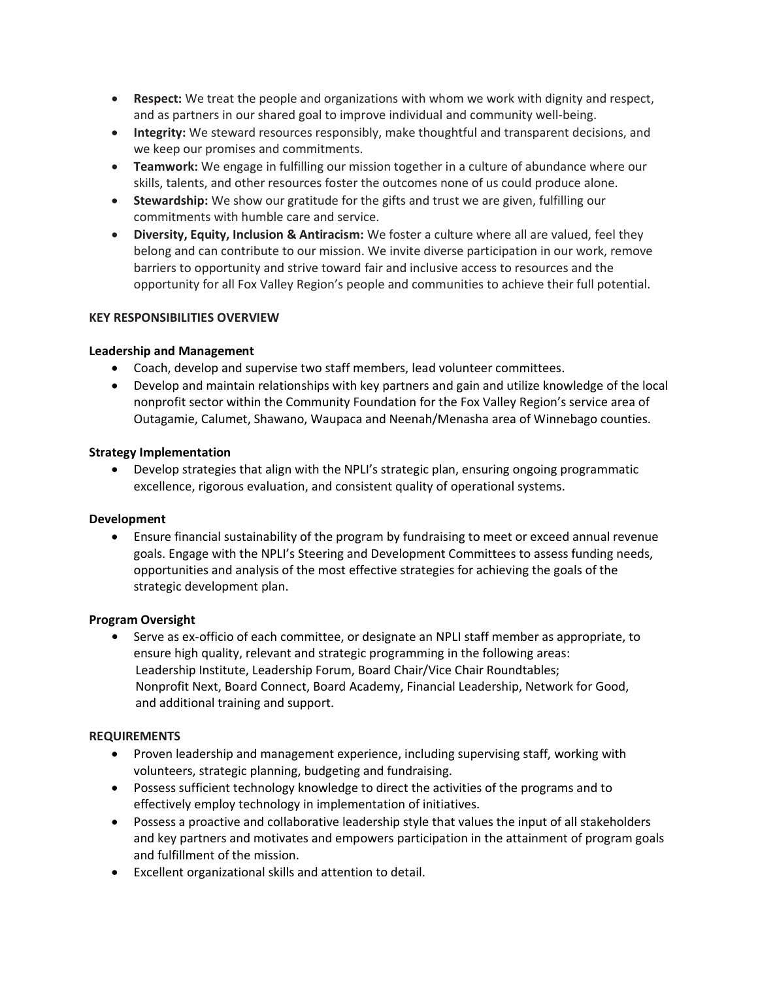- **Respect:** We treat the people and organizations with whom we work with dignity and respect, and as partners in our shared goal to improve individual and community well-being.
- **Integrity:** We steward resources responsibly, make thoughtful and transparent decisions, and we keep our promises and commitments.
- **Teamwork:** We engage in fulfilling our mission together in a culture of abundance where our skills, talents, and other resources foster the outcomes none of us could produce alone.
- **Stewardship:** We show our gratitude for the gifts and trust we are given, fulfilling our commitments with humble care and service.
- **Diversity, Equity, Inclusion & Antiracism:** We foster a culture where all are valued, feel they belong and can contribute to our mission. We invite diverse participation in our work, remove barriers to opportunity and strive toward fair and inclusive access to resources and the opportunity for all Fox Valley Region's people and communities to achieve their full potential.

## **KEY RESPONSIBILITIES OVERVIEW**

## **Leadership and Management**

- Coach, develop and supervise two staff members, lead volunteer committees.
- Develop and maintain relationships with key partners and gain and utilize knowledge of the local nonprofit sector within the Community Foundation for the Fox Valley Region's service area of Outagamie, Calumet, Shawano, Waupaca and Neenah/Menasha area of Winnebago counties.

## **Strategy Implementation**

• Develop strategies that align with the NPLI's strategic plan, ensuring ongoing programmatic excellence, rigorous evaluation, and consistent quality of operational systems.

## **Development**

• Ensure financial sustainability of the program by fundraising to meet or exceed annual revenue goals. Engage with the NPLI's Steering and Development Committees to assess funding needs, opportunities and analysis of the most effective strategies for achieving the goals of the strategic development plan.

## **Program Oversight**

**•** Serve as ex-officio of each committee, or designate an NPLI staff member as appropriate, to ensure high quality, relevant and strategic programming in the following areas: Leadership Institute, Leadership Forum, Board Chair/Vice Chair Roundtables; Nonprofit Next, Board Connect, Board Academy, Financial Leadership, Network for Good, and additional training and support.

## **REQUIREMENTS**

- Proven leadership and management experience, including supervising staff, working with volunteers, strategic planning, budgeting and fundraising.
- Possess sufficient technology knowledge to direct the activities of the programs and to effectively employ technology in implementation of initiatives.
- Possess a proactive and collaborative leadership style that values the input of all stakeholders and key partners and motivates and empowers participation in the attainment of program goals and fulfillment of the mission.
- Excellent organizational skills and attention to detail.